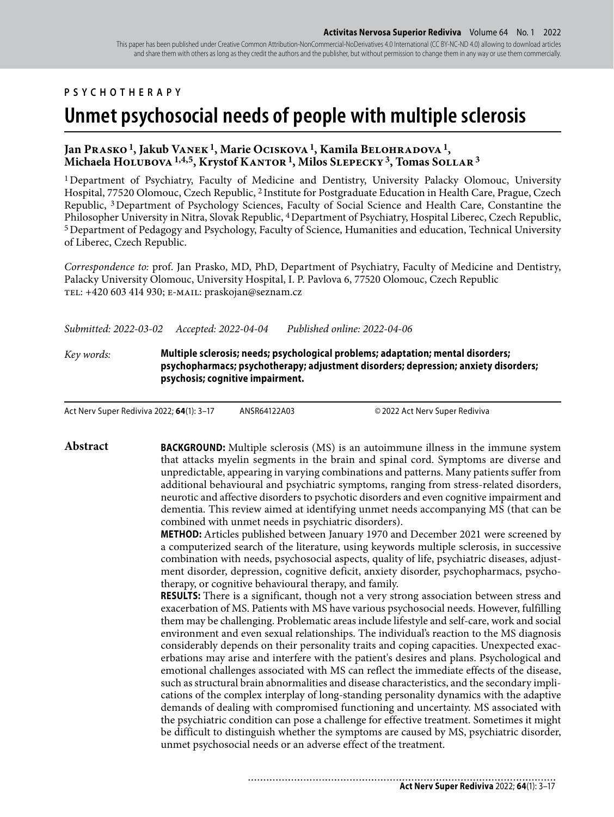This paper has been published under Creative Common Attribution-NonCommercial-NoDerivatives 4.0 International (CC BY-NC-ND 4.0) allowing to download articles and share them with others as long as they credit the authors and the publisher, but without permission to change them in any way or use them commercially.

#### **PSYCHOTHERAPY**

# **Unmet psychosocial needs of people with multiple sclerosis**

#### **Jan Prasko 1, Jakub Vanek 1, Marie Ociskova 1, Kamila Belohradova 1, Michaela Holubova 1,4,5, Krystof Kantor 1, Milos Slepecky 3, Tomas Sollar 3**

1 Department of Psychiatry, Faculty of Medicine and Dentistry, University Palacky Olomouc, University Hospital, 77520 Olomouc, Czech Republic, 2 Institute for Postgraduate Education in Health Care, Prague, Czech Republic, 3 Department of Psychology Sciences, Faculty of Social Science and Health Care, Constantine the Philosopher University in Nitra, Slovak Republic, 4 Department of Psychiatry, Hospital Liberec, Czech Republic, 5 Department of Pedagogy and Psychology, Faculty of Science, Humanities and education, Technical University of Liberec, Czech Republic.

*Correspondence to:* prof. Jan Prasko, MD, PhD, Department of Psychiatry, Faculty of Medicine and Dentistry, Palacky University Olomouc, University Hospital, I. P. Pavlova 6, 77520 Olomouc, Czech Republic tel: +420 603 414 930; e-mail: praskojan@seznam.cz

*Submitted: 2022-03-02 Accepted: 2022-04-04 Published online: 2022-04-06*

*Key words:* **Multiple sclerosis; needs; psychological problems; adaptation; mental disorders; psychopharmacs; psychotherapy; adjustment disorders; depression; anxiety disorders; psychosis; cognitive impairment.** 

Act Nerv Super Rediviva 2022; **64**(1): 3–17 ANSR64122A03 © 2022 Act Nerv Super Rediviva

**Abstract BACKGROUND:** Multiple sclerosis (MS) is an autoimmune illness in the immune system that attacks myelin segments in the brain and spinal cord. Symptoms are diverse and unpredictable, appearing in varying combinations and patterns. Many patients suffer from additional behavioural and psychiatric symptoms, ranging from stress-related disorders, neurotic and affective disorders to psychotic disorders and even cognitive impairment and dementia. This review aimed at identifying unmet needs accompanying MS (that can be combined with unmet needs in psychiatric disorders).

> **METHOD:** Articles published between January 1970 and December 2021 were screened by a computerized search of the literature, using keywords multiple sclerosis, in successive combination with needs, psychosocial aspects, quality of life, psychiatric diseases, adjustment disorder, depression, cognitive deficit, anxiety disorder, psychopharmacs, psychotherapy, or cognitive behavioural therapy, and family.

> **RESULTS:** There is a significant, though not a very strong association between stress and exacerbation of MS. Patients with MS have various psychosocial needs. However, fulfilling them may be challenging. Problematic areas include lifestyle and self-care, work and social environment and even sexual relationships. The individual's reaction to the MS diagnosis considerably depends on their personality traits and coping capacities. Unexpected exacerbations may arise and interfere with the patient's desires and plans. Psychological and emotional challenges associated with MS can reflect the immediate effects of the disease, such as structural brain abnormalities and disease characteristics, and the secondary implications of the complex interplay of long-standing personality dynamics with the adaptive demands of dealing with compromised functioning and uncertainty. MS associated with the psychiatric condition can pose a challenge for effective treatment. Sometimes it might be difficult to distinguish whether the symptoms are caused by MS, psychiatric disorder, unmet psychosocial needs or an adverse effect of the treatment.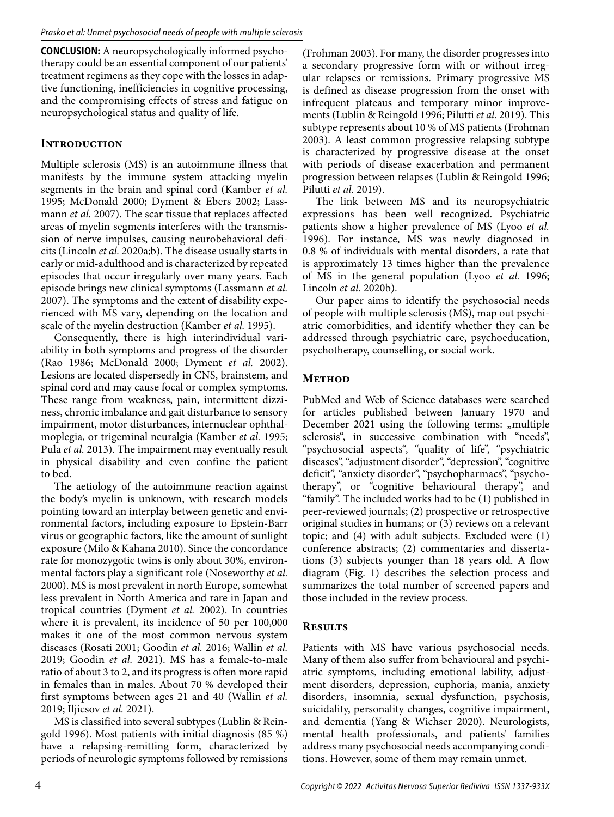**CONCLUSION:** A neuropsychologically informed psychotherapy could be an essential component of our patients' treatment regimens as they cope with the losses in adaptive functioning, inefficiencies in cognitive processing, and the compromising effects of stress and fatigue on neuropsychological status and quality of life.

#### **Introduction**

Multiple sclerosis (MS) is an autoimmune illness that manifests by the immune system attacking myelin segments in the brain and spinal cord (Kamber *et al.* 1995; McDonald 2000; Dyment & Ebers 2002; Lassmann *et al.* 2007). The scar tissue that replaces affected areas of myelin segments interferes with the transmission of nerve impulses, causing neurobehavioral deficits (Lincoln *et al.* 2020a;b). The disease usually starts in early or mid-adulthood and is characterized by repeated episodes that occur irregularly over many years. Each episode brings new clinical symptoms (Lassmann *et al.* 2007). The symptoms and the extent of disability experienced with MS vary, depending on the location and scale of the myelin destruction (Kamber *et al.* 1995).

Consequently, there is high interindividual variability in both symptoms and progress of the disorder (Rao 1986; McDonald 2000; Dyment *et al.* 2002). Lesions are located dispersedly in CNS, brainstem, and spinal cord and may cause focal or complex symptoms. These range from weakness, pain, intermittent dizziness, chronic imbalance and gait disturbance to sensory impairment, motor disturbances, internuclear ophthalmoplegia, or trigeminal neuralgia (Kamber *et al.* 1995; Pula *et al.* 2013). The impairment may eventually result in physical disability and even confine the patient to bed.

The aetiology of the autoimmune reaction against the body's myelin is unknown, with research models pointing toward an interplay between genetic and environmental factors, including exposure to Epstein-Barr virus or geographic factors, like the amount of sunlight exposure (Milo & Kahana 2010). Since the concordance rate for monozygotic twins is only about 30%, environmental factors play a significant role (Noseworthy *et al.* 2000). MS is most prevalent in north Europe, somewhat less prevalent in North America and rare in Japan and tropical countries (Dyment *et al.* 2002). In countries where it is prevalent, its incidence of 50 per 100,000 makes it one of the most common nervous system diseases (Rosati 2001; Goodin *et al.* 2016; Wallin *et al.* 2019; Goodin *et al.* 2021). MS has a female-to-male ratio of about 3 to 2, and its progress is often more rapid in females than in males. About 70 % developed their first symptoms between ages 21 and 40 (Wallin *et al.* 2019; Iljicsov *et al.* 2021).

MS is classified into several subtypes (Lublin & Reingold 1996). Most patients with initial diagnosis (85 %) have a relapsing-remitting form, characterized by periods of neurologic symptoms followed by remissions

(Frohman 2003). For many, the disorder progresses into a secondary progressive form with or without irregular relapses or remissions. Primary progressive MS is defined as disease progression from the onset with infrequent plateaus and temporary minor improvements (Lublin & Reingold 1996; Pilutti *et al.* 2019). This subtype represents about 10 % of MS patients (Frohman 2003). A least common progressive relapsing subtype is characterized by progressive disease at the onset with periods of disease exacerbation and permanent progression between relapses (Lublin & Reingold 1996; Pilutti *et al.* 2019).

The link between MS and its neuropsychiatric expressions has been well recognized. Psychiatric patients show a higher prevalence of MS (Lyoo *et al.* 1996). For instance, MS was newly diagnosed in 0.8 % of individuals with mental disorders, a rate that is approximately 13 times higher than the prevalence of MS in the general population (Lyoo *et al.* 1996; Lincoln *et al.* 2020b).

Our paper aims to identify the psychosocial needs of people with multiple sclerosis (MS), map out psychiatric comorbidities, and identify whether they can be addressed through psychiatric care, psychoeducation, psychotherapy, counselling, or social work.

#### **Method**

PubMed and Web of Science databases were searched for articles published between January 1970 and December 2021 using the following terms: "multiple sclerosis", in successive combination with "needs", "psychosocial aspects", "quality of life", "psychiatric diseases", "adjustment disorder", "depression", "cognitive deficit", "anxiety disorder", "psychopharmacs", "psychotherapy", or "cognitive behavioural therapy", and "family". The included works had to be (1) published in peer-reviewed journals; (2) prospective or retrospective original studies in humans; or (3) reviews on a relevant topic; and (4) with adult subjects. Excluded were (1) conference abstracts; (2) commentaries and dissertations (3) subjects younger than 18 years old. A flow diagram (Fig. 1) describes the selection process and summarizes the total number of screened papers and those included in the review process.

# **Results**

Patients with MS have various psychosocial needs. Many of them also suffer from behavioural and psychiatric symptoms, including emotional lability, adjustment disorders, depression, euphoria, mania, anxiety disorders, insomnia, sexual dysfunction, psychosis, suicidality, personality changes, cognitive impairment, and dementia (Yang & Wichser 2020). Neurologists, mental health professionals, and patients' families address many psychosocial needs accompanying conditions. However, some of them may remain unmet.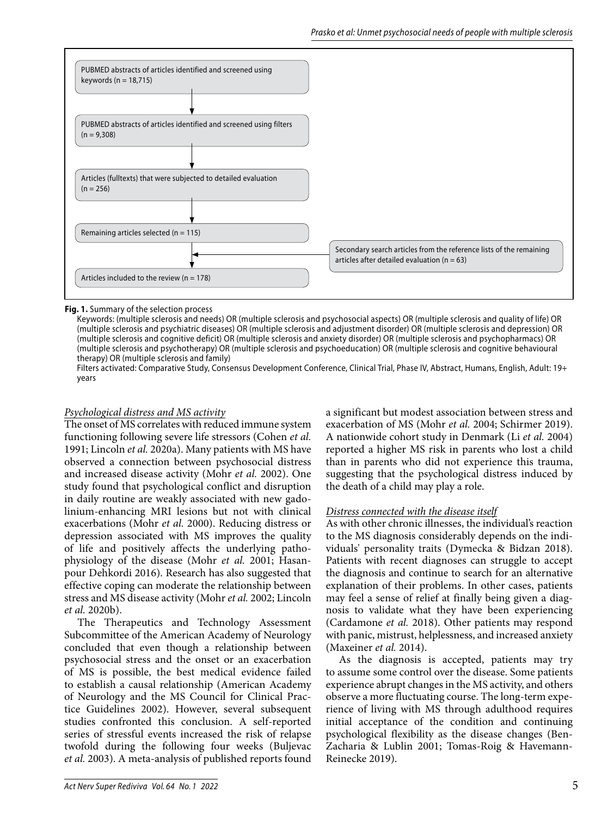

#### **Fig. 1.** Summary of the selection process

Keywords: (multiple sclerosis and needs) OR (multiple sclerosis and psychosocial aspects) OR (multiple sclerosis and quality of life) OR (multiple sclerosis and psychiatric diseases) OR (multiple sclerosis and adjustment disorder) OR (multiple sclerosis and depression) OR (multiple sclerosis and cognitive deficit) OR (multiple sclerosis and anxiety disorder) OR (multiple sclerosis and psychopharmacs) OR (multiple sclerosis and psychotherapy) OR (multiple sclerosis and psychoeducation) OR (multiple sclerosis and cognitive behavioural therapy) OR (multiple sclerosis and family)

 Filters activated: Comparative Study, Consensus Development Conference, Clinical Trial, Phase IV, Abstract, Humans, English, Adult: 19+ years

#### *Psychological distress and MS activity*

The onset of MS correlates with reduced immune system functioning following severe life stressors (Cohen *et al.* 1991; Lincoln *et al.* 2020a). Many patients with MS have observed a connection between psychosocial distress and increased disease activity (Mohr *et al.* 2002). One study found that psychological conflict and disruption in daily routine are weakly associated with new gadolinium-enhancing MRI lesions but not with clinical exacerbations (Mohr *et al.* 2000). Reducing distress or depression associated with MS improves the quality of life and positively affects the underlying pathophysiology of the disease (Mohr *et al.* 2001; Hasanpour Dehkordi 2016). Research has also suggested that effective coping can moderate the relationship between stress and MS disease activity (Mohr *et al.* 2002; Lincoln *et al.* 2020b).

The Therapeutics and Technology Assessment Subcommittee of the American Academy of Neurology concluded that even though a relationship between psychosocial stress and the onset or an exacerbation of MS is possible, the best medical evidence failed to establish a causal relationship (American Academy of Neurology and the MS Council for Clinical Practice Guidelines 2002). However, several subsequent studies confronted this conclusion. A self-reported series of stressful events increased the risk of relapse twofold during the following four weeks (Buljevac *et al.* 2003). A meta-analysis of published reports found

a significant but modest association between stress and exacerbation of MS (Mohr *et al.* 2004; Schirmer 2019). A nationwide cohort study in Denmark (Li *et al.* 2004) reported a higher MS risk in parents who lost a child than in parents who did not experience this trauma, suggesting that the psychological distress induced by the death of a child may play a role.

#### *Distress connected with the disease itself*

As with other chronic illnesses, the individual's reaction to the MS diagnosis considerably depends on the individuals' personality traits (Dymecka & Bidzan 2018). Patients with recent diagnoses can struggle to accept the diagnosis and continue to search for an alternative explanation of their problems. In other cases, patients may feel a sense of relief at finally being given a diagnosis to validate what they have been experiencing (Cardamone *et al.* 2018). Other patients may respond with panic, mistrust, helplessness, and increased anxiety (Maxeiner *et al.* 2014).

As the diagnosis is accepted, patients may try to assume some control over the disease. Some patients experience abrupt changes in the MS activity, and others observe a more fluctuating course. The long-term experience of living with MS through adulthood requires initial acceptance of the condition and continuing psychological flexibility as the disease changes (Ben-Zacharia & Lublin 2001; Tomas-Roig & Havemann-Reinecke 2019).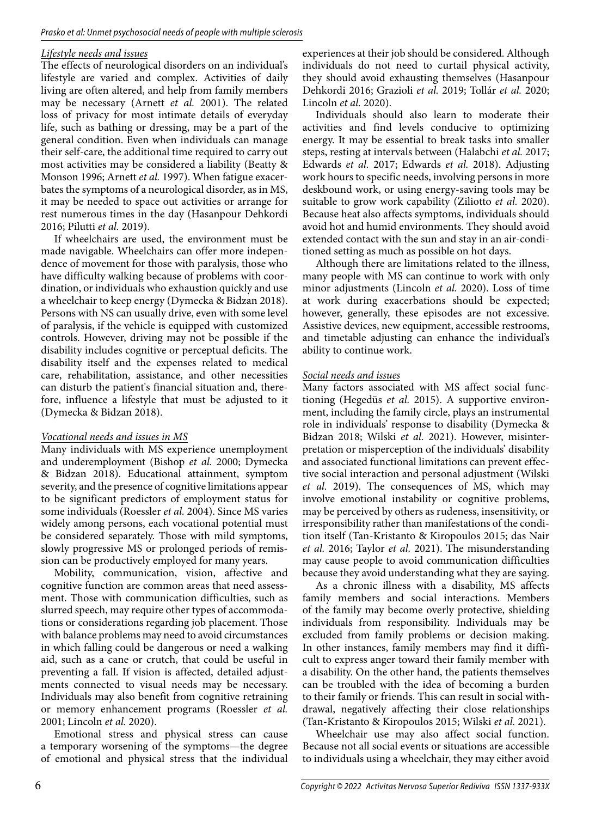#### *Lifestyle needs and issues*

The effects of neurological disorders on an individual's lifestyle are varied and complex. Activities of daily living are often altered, and help from family members may be necessary (Arnett *et al.* 2001). The related loss of privacy for most intimate details of everyday life, such as bathing or dressing, may be a part of the general condition. Even when individuals can manage their self-care, the additional time required to carry out most activities may be considered a liability (Beatty & Monson 1996; Arnett *et al.* 1997). When fatigue exacerbates the symptoms of a neurological disorder, as in MS, it may be needed to space out activities or arrange for rest numerous times in the day (Hasanpour Dehkordi 2016; Pilutti *et al.* 2019).

If wheelchairs are used, the environment must be made navigable. Wheelchairs can offer more independence of movement for those with paralysis, those who have difficulty walking because of problems with coordination, or individuals who exhaustion quickly and use a wheelchair to keep energy (Dymecka & Bidzan 2018). Persons with NS can usually drive, even with some level of paralysis, if the vehicle is equipped with customized controls. However, driving may not be possible if the disability includes cognitive or perceptual deficits. The disability itself and the expenses related to medical care, rehabilitation, assistance, and other necessities can disturb the patient's financial situation and, therefore, influence a lifestyle that must be adjusted to it (Dymecka & Bidzan 2018).

#### *Vocational needs and issues in MS*

Many individuals with MS experience unemployment and underemployment (Bishop *et al.* 2000; Dymecka & Bidzan 2018). Educational attainment, symptom severity, and the presence of cognitive limitations appear to be significant predictors of employment status for some individuals (Roessler *et al.* 2004). Since MS varies widely among persons, each vocational potential must be considered separately. Those with mild symptoms, slowly progressive MS or prolonged periods of remission can be productively employed for many years.

Mobility, communication, vision, affective and cognitive function are common areas that need assessment. Those with communication difficulties, such as slurred speech, may require other types of accommodations or considerations regarding job placement. Those with balance problems may need to avoid circumstances in which falling could be dangerous or need a walking aid, such as a cane or crutch, that could be useful in preventing a fall. If vision is affected, detailed adjustments connected to visual needs may be necessary. Individuals may also benefit from cognitive retraining or memory enhancement programs (Roessler *et al.* 2001; Lincoln *et al.* 2020).

Emotional stress and physical stress can cause a temporary worsening of the symptoms—the degree of emotional and physical stress that the individual experiences at their job should be considered. Although individuals do not need to curtail physical activity, they should avoid exhausting themselves (Hasanpour Dehkordi 2016; Grazioli *et al.* 2019; Tollár *et al.* 2020; Lincoln *et al.* 2020).

Individuals should also learn to moderate their activities and find levels conducive to optimizing energy. It may be essential to break tasks into smaller steps, resting at intervals between (Halabchi *et al.* 2017; Edwards *et al.* 2017; Edwards *et al.* 2018). Adjusting work hours to specific needs, involving persons in more deskbound work, or using energy-saving tools may be suitable to grow work capability (Ziliotto *et al.* 2020). Because heat also affects symptoms, individuals should avoid hot and humid environments. They should avoid extended contact with the sun and stay in an air-conditioned setting as much as possible on hot days.

Although there are limitations related to the illness, many people with MS can continue to work with only minor adjustments (Lincoln *et al.* 2020). Loss of time at work during exacerbations should be expected; however, generally, these episodes are not excessive. Assistive devices, new equipment, accessible restrooms, and timetable adjusting can enhance the individual's ability to continue work.

#### *Social needs and issues*

Many factors associated with MS affect social functioning (Hegedüs *et al.* 2015). A supportive environment, including the family circle, plays an instrumental role in individuals' response to disability (Dymecka & Bidzan 2018; Wilski *et al.* 2021). However, misinterpretation or misperception of the individuals' disability and associated functional limitations can prevent effective social interaction and personal adjustment (Wilski *et al.* 2019). The consequences of MS, which may involve emotional instability or cognitive problems, may be perceived by others as rudeness, insensitivity, or irresponsibility rather than manifestations of the condition itself (Tan-Kristanto & Kiropoulos 2015; das Nair *et al.* 2016; Taylor *et al.* 2021). The misunderstanding may cause people to avoid communication difficulties because they avoid understanding what they are saying.

As a chronic illness with a disability, MS affects family members and social interactions. Members of the family may become overly protective, shielding individuals from responsibility. Individuals may be excluded from family problems or decision making. In other instances, family members may find it difficult to express anger toward their family member with a disability. On the other hand, the patients themselves can be troubled with the idea of becoming a burden to their family or friends. This can result in social withdrawal, negatively affecting their close relationships (Tan-Kristanto & Kiropoulos 2015; Wilski *et al.* 2021).

Wheelchair use may also affect social function. Because not all social events or situations are accessible to individuals using a wheelchair, they may either avoid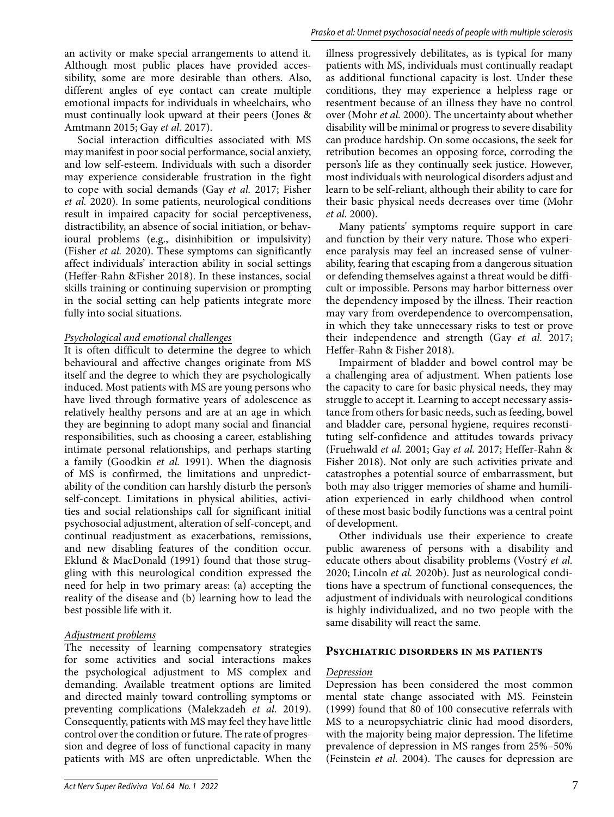an activity or make special arrangements to attend it. Although most public places have provided accessibility, some are more desirable than others. Also, different angles of eye contact can create multiple emotional impacts for individuals in wheelchairs, who must continually look upward at their peers (Jones & Amtmann 2015; Gay *et al.* 2017).

Social interaction difficulties associated with MS may manifest in poor social performance, social anxiety, and low self-esteem. Individuals with such a disorder may experience considerable frustration in the fight to cope with social demands (Gay *et al.* 2017; Fisher *et al.* 2020). In some patients, neurological conditions result in impaired capacity for social perceptiveness, distractibility, an absence of social initiation, or behavioural problems (e.g., disinhibition or impulsivity) (Fisher *et al.* 2020). These symptoms can significantly affect individuals' interaction ability in social settings (Heffer-Rahn &Fisher 2018). In these instances, social skills training or continuing supervision or prompting in the social setting can help patients integrate more fully into social situations.

#### *Psychological and emotional challenges*

It is often difficult to determine the degree to which behavioural and affective changes originate from MS itself and the degree to which they are psychologically induced. Most patients with MS are young persons who have lived through formative years of adolescence as relatively healthy persons and are at an age in which they are beginning to adopt many social and financial responsibilities, such as choosing a career, establishing intimate personal relationships, and perhaps starting a family (Goodkin *et al.* 1991). When the diagnosis of MS is confirmed, the limitations and unpredictability of the condition can harshly disturb the person's self-concept. Limitations in physical abilities, activities and social relationships call for significant initial psychosocial adjustment, alteration of self-concept, and continual readjustment as exacerbations, remissions, and new disabling features of the condition occur. Eklund & MacDonald (1991) found that those struggling with this neurological condition expressed the need for help in two primary areas: (a) accepting the reality of the disease and (b) learning how to lead the best possible life with it.

#### *Adjustment problems*

The necessity of learning compensatory strategies for some activities and social interactions makes the psychological adjustment to MS complex and demanding. Available treatment options are limited and directed mainly toward controlling symptoms or preventing complications (Malekzadeh *et al.* 2019). Consequently, patients with MS may feel they have little control over the condition or future. The rate of progression and degree of loss of functional capacity in many patients with MS are often unpredictable. When the

illness progressively debilitates, as is typical for many patients with MS, individuals must continually readapt as additional functional capacity is lost. Under these conditions, they may experience a helpless rage or resentment because of an illness they have no control over (Mohr *et al.* 2000). The uncertainty about whether disability will be minimal or progress to severe disability can produce hardship. On some occasions, the seek for retribution becomes an opposing force, corroding the person's life as they continually seek justice. However, most individuals with neurological disorders adjust and learn to be self-reliant, although their ability to care for their basic physical needs decreases over time (Mohr *et al.* 2000).

Many patients' symptoms require support in care and function by their very nature. Those who experience paralysis may feel an increased sense of vulnerability, fearing that escaping from a dangerous situation or defending themselves against a threat would be difficult or impossible. Persons may harbor bitterness over the dependency imposed by the illness. Their reaction may vary from overdependence to overcompensation, in which they take unnecessary risks to test or prove their independence and strength (Gay *et al.* 2017; Heffer-Rahn & Fisher 2018).

Impairment of bladder and bowel control may be a challenging area of adjustment. When patients lose the capacity to care for basic physical needs, they may struggle to accept it. Learning to accept necessary assistance from others for basic needs, such as feeding, bowel and bladder care, personal hygiene, requires reconstituting self-confidence and attitudes towards privacy (Fruehwald *et al.* 2001; Gay *et al.* 2017; Heffer-Rahn & Fisher 2018). Not only are such activities private and catastrophes a potential source of embarrassment, but both may also trigger memories of shame and humiliation experienced in early childhood when control of these most basic bodily functions was a central point of development.

Other individuals use their experience to create public awareness of persons with a disability and educate others about disability problems (Vostrý *et al.* 2020; Lincoln *et al.* 2020b). Just as neurological conditions have a spectrum of functional consequences, the adjustment of individuals with neurological conditions is highly individualized, and no two people with the same disability will react the same.

#### **Psychiatric disorders in ms patients**

#### *Depression*

Depression has been considered the most common mental state change associated with MS. Feinstein (1999) found that 80 of 100 consecutive referrals with MS to a neuropsychiatric clinic had mood disorders, with the majority being major depression. The lifetime prevalence of depression in MS ranges from 25%–50% (Feinstein *et al.* 2004). The causes for depression are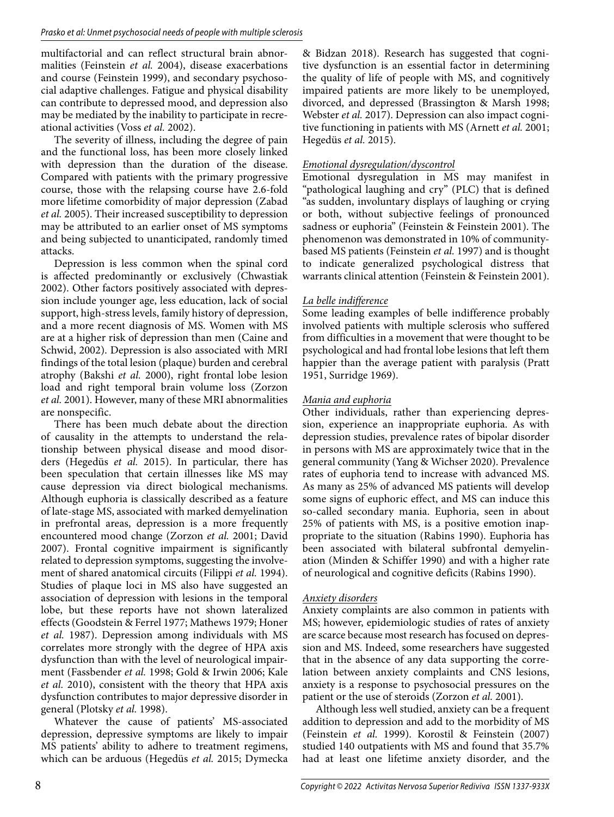multifactorial and can reflect structural brain abnormalities (Feinstein *et al.* 2004), disease exacerbations and course (Feinstein 1999), and secondary psychosocial adaptive challenges. Fatigue and physical disability can contribute to depressed mood, and depression also may be mediated by the inability to participate in recreational activities (Voss *et al.* 2002).

The severity of illness, including the degree of pain and the functional loss, has been more closely linked with depression than the duration of the disease. Compared with patients with the primary progressive course, those with the relapsing course have 2.6-fold more lifetime comorbidity of major depression (Zabad *et al.* 2005). Their increased susceptibility to depression may be attributed to an earlier onset of MS symptoms and being subjected to unanticipated, randomly timed attacks.

Depression is less common when the spinal cord is affected predominantly or exclusively (Chwastiak 2002). Other factors positively associated with depression include younger age, less education, lack of social support, high-stress levels, family history of depression, and a more recent diagnosis of MS. Women with MS are at a higher risk of depression than men (Caine and Schwid, 2002). Depression is also associated with MRI findings of the total lesion (plaque) burden and cerebral atrophy (Bakshi *et al.* 2000), right frontal lobe lesion load and right temporal brain volume loss (Zorzon *et al.* 2001). However, many of these MRI abnormalities are nonspecific.

There has been much debate about the direction of causality in the attempts to understand the relationship between physical disease and mood disorders (Hegedüs *et al.* 2015). In particular, there has been speculation that certain illnesses like MS may cause depression via direct biological mechanisms. Although euphoria is classically described as a feature of late-stage MS, associated with marked demyelination in prefrontal areas, depression is a more frequently encountered mood change (Zorzon *et al.* 2001; David 2007). Frontal cognitive impairment is significantly related to depression symptoms, suggesting the involvement of shared anatomical circuits (Filippi *et al.* 1994). Studies of plaque loci in MS also have suggested an association of depression with lesions in the temporal lobe, but these reports have not shown lateralized effects (Goodstein & Ferrel 1977; Mathews 1979; Honer *et al.* 1987). Depression among individuals with MS correlates more strongly with the degree of HPA axis dysfunction than with the level of neurological impairment (Fassbender *et al.* 1998; Gold & Irwin 2006; Kale *et al.* 2010), consistent with the theory that HPA axis dysfunction contributes to major depressive disorder in general (Plotsky *et al.* 1998).

Whatever the cause of patients' MS-associated depression, depressive symptoms are likely to impair MS patients' ability to adhere to treatment regimens, which can be arduous (Hegedüs *et al.* 2015; Dymecka

& Bidzan 2018). Research has suggested that cognitive dysfunction is an essential factor in determining the quality of life of people with MS, and cognitively impaired patients are more likely to be unemployed, divorced, and depressed (Brassington & Marsh 1998; Webster *et al.* 2017). Depression can also impact cognitive functioning in patients with MS (Arnett *et al.* 2001; Hegedüs *et al.* 2015).

#### *Emotional dysregulation/dyscontrol*

Emotional dysregulation in MS may manifest in "pathological laughing and cry" (PLC) that is defined "as sudden, involuntary displays of laughing or crying or both, without subjective feelings of pronounced sadness or euphoria" (Feinstein & Feinstein 2001). The phenomenon was demonstrated in 10% of communitybased MS patients (Feinstein *et al.* 1997) and is thought to indicate generalized psychological distress that warrants clinical attention (Feinstein & Feinstein 2001).

#### *La belle indifference*

Some leading examples of belle indifference probably involved patients with multiple sclerosis who suffered from difficulties in a movement that were thought to be psychological and had frontal lobe lesions that left them happier than the average patient with paralysis (Pratt 1951, Surridge 1969).

#### *Mania and euphoria*

Other individuals, rather than experiencing depression, experience an inappropriate euphoria. As with depression studies, prevalence rates of bipolar disorder in persons with MS are approximately twice that in the general community (Yang & Wichser 2020). Prevalence rates of euphoria tend to increase with advanced MS. As many as 25% of advanced MS patients will develop some signs of euphoric effect, and MS can induce this so-called secondary mania. Euphoria, seen in about 25% of patients with MS, is a positive emotion inappropriate to the situation (Rabins 1990). Euphoria has been associated with bilateral subfrontal demyelination (Minden & Schiffer 1990) and with a higher rate of neurological and cognitive deficits (Rabins 1990).

#### *Anxiety disorders*

Anxiety complaints are also common in patients with MS; however, epidemiologic studies of rates of anxiety are scarce because most research has focused on depression and MS. Indeed, some researchers have suggested that in the absence of any data supporting the correlation between anxiety complaints and CNS lesions, anxiety is a response to psychosocial pressures on the patient or the use of steroids (Zorzon *et al.* 2001).

Although less well studied, anxiety can be a frequent addition to depression and add to the morbidity of MS (Feinstein *et al.* 1999). Korostil & Feinstein (2007) studied 140 outpatients with MS and found that 35.7% had at least one lifetime anxiety disorder, and the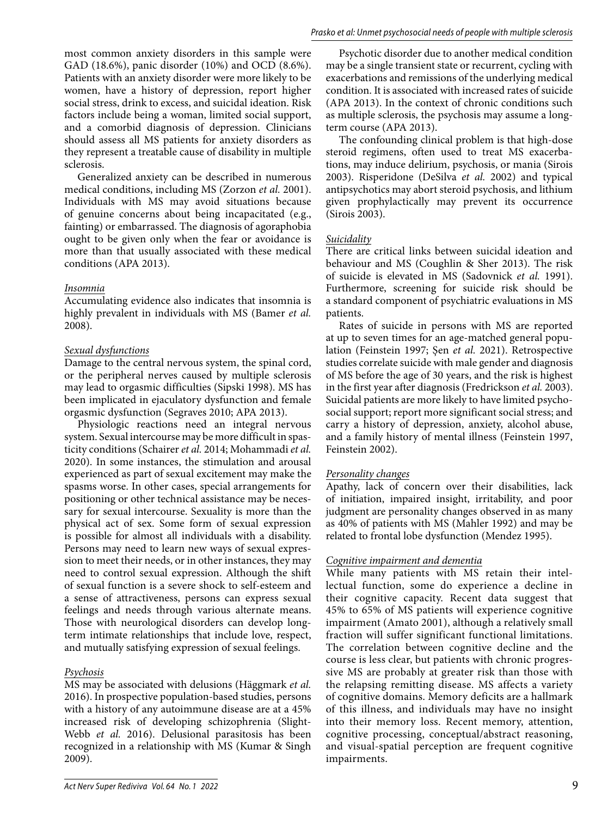most common anxiety disorders in this sample were GAD (18.6%), panic disorder (10%) and OCD (8.6%). Patients with an anxiety disorder were more likely to be women, have a history of depression, report higher social stress, drink to excess, and suicidal ideation. Risk factors include being a woman, limited social support, and a comorbid diagnosis of depression. Clinicians should assess all MS patients for anxiety disorders as they represent a treatable cause of disability in multiple sclerosis.

Generalized anxiety can be described in numerous medical conditions, including MS (Zorzon *et al.* 2001). Individuals with MS may avoid situations because of genuine concerns about being incapacitated (e.g., fainting) or embarrassed. The diagnosis of agoraphobia ought to be given only when the fear or avoidance is more than that usually associated with these medical conditions (APA 2013).

#### *Insomnia*

Accumulating evidence also indicates that insomnia is highly prevalent in individuals with MS (Bamer *et al.* 2008).

#### *Sexual dysfunctions*

Damage to the central nervous system, the spinal cord, or the peripheral nerves caused by multiple sclerosis may lead to orgasmic difficulties (Sipski 1998). MS has been implicated in ejaculatory dysfunction and female orgasmic dysfunction (Segraves 2010; APA 2013).

Physiologic reactions need an integral nervous system. Sexual intercourse may be more difficult in spasticity conditions (Schairer *et al.* 2014; Mohammadi *et al.* 2020). In some instances, the stimulation and arousal experienced as part of sexual excitement may make the spasms worse. In other cases, special arrangements for positioning or other technical assistance may be necessary for sexual intercourse. Sexuality is more than the physical act of sex. Some form of sexual expression is possible for almost all individuals with a disability. Persons may need to learn new ways of sexual expression to meet their needs, or in other instances, they may need to control sexual expression. Although the shift of sexual function is a severe shock to self-esteem and a sense of attractiveness, persons can express sexual feelings and needs through various alternate means. Those with neurological disorders can develop longterm intimate relationships that include love, respect, and mutually satisfying expression of sexual feelings.

#### *Psychosis*

MS may be associated with delusions (Häggmark *et al.* 2016). In prospective population-based studies, persons with a history of any autoimmune disease are at a 45% increased risk of developing schizophrenia (Slight-Webb *et al.* 2016). Delusional parasitosis has been recognized in a relationship with MS (Kumar & Singh 2009).

Psychotic disorder due to another medical condition may be a single transient state or recurrent, cycling with exacerbations and remissions of the underlying medical condition. It is associated with increased rates of suicide (APA 2013). In the context of chronic conditions such as multiple sclerosis, the psychosis may assume a longterm course (APA 2013).

The confounding clinical problem is that high-dose steroid regimens, often used to treat MS exacerbations, may induce delirium, psychosis, or mania (Sirois 2003). Risperidone (DeSilva *et al.* 2002) and typical antipsychotics may abort steroid psychosis, and lithium given prophylactically may prevent its occurrence (Sirois 2003).

#### *Suicidality*

There are critical links between suicidal ideation and behaviour and MS (Coughlin & Sher 2013). The risk of suicide is elevated in MS (Sadovnick *et al.* 1991). Furthermore, screening for suicide risk should be a standard component of psychiatric evaluations in MS patients.

Rates of suicide in persons with MS are reported at up to seven times for an age-matched general population (Feinstein 1997; Şen *et al.* 2021). Retrospective studies correlate suicide with male gender and diagnosis of MS before the age of 30 years, and the risk is highest in the first year after diagnosis (Fredrickson *et al.* 2003). Suicidal patients are more likely to have limited psychosocial support; report more significant social stress; and carry a history of depression, anxiety, alcohol abuse, and a family history of mental illness (Feinstein 1997, Feinstein 2002).

#### *Personality changes*

Apathy, lack of concern over their disabilities, lack of initiation, impaired insight, irritability, and poor judgment are personality changes observed in as many as 40% of patients with MS (Mahler 1992) and may be related to frontal lobe dysfunction (Mendez 1995).

#### *Cognitive impairment and dementia*

While many patients with MS retain their intellectual function, some do experience a decline in their cognitive capacity. Recent data suggest that 45% to 65% of MS patients will experience cognitive impairment (Amato 2001), although a relatively small fraction will suffer significant functional limitations. The correlation between cognitive decline and the course is less clear, but patients with chronic progressive MS are probably at greater risk than those with the relapsing remitting disease. MS affects a variety of cognitive domains. Memory deficits are a hallmark of this illness, and individuals may have no insight into their memory loss. Recent memory, attention, cognitive processing, conceptual/abstract reasoning, and visual-spatial perception are frequent cognitive impairments.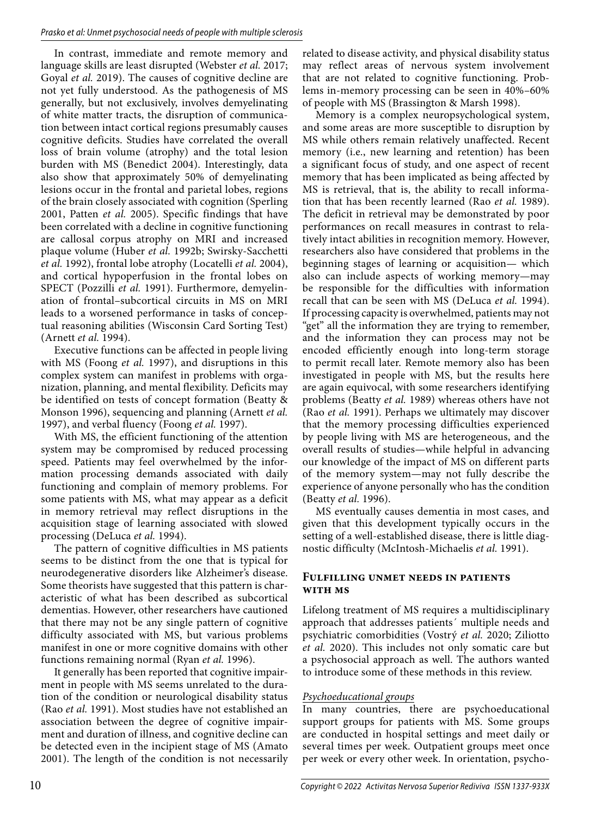In contrast, immediate and remote memory and language skills are least disrupted (Webster *et al.* 2017; Goyal *et al.* 2019). The causes of cognitive decline are not yet fully understood. As the pathogenesis of MS generally, but not exclusively, involves demyelinating of white matter tracts, the disruption of communication between intact cortical regions presumably causes cognitive deficits. Studies have correlated the overall loss of brain volume (atrophy) and the total lesion burden with MS (Benedict 2004). Interestingly, data also show that approximately 50% of demyelinating lesions occur in the frontal and parietal lobes, regions of the brain closely associated with cognition (Sperling 2001, Patten *et al.* 2005). Specific findings that have been correlated with a decline in cognitive functioning are callosal corpus atrophy on MRI and increased plaque volume (Huber *et al.* 1992b; Swirsky-Sacchetti *et al.* 1992), frontal lobe atrophy (Locatelli *et al.* 2004), and cortical hypoperfusion in the frontal lobes on SPECT (Pozzilli *et al.* 1991). Furthermore, demyelination of frontal–subcortical circuits in MS on MRI leads to a worsened performance in tasks of conceptual reasoning abilities (Wisconsin Card Sorting Test) (Arnett *et al.* 1994).

Executive functions can be affected in people living with MS (Foong *et al.* 1997), and disruptions in this complex system can manifest in problems with organization, planning, and mental flexibility. Deficits may be identified on tests of concept formation (Beatty & Monson 1996), sequencing and planning (Arnett *et al.* 1997), and verbal fluency (Foong *et al.* 1997).

With MS, the efficient functioning of the attention system may be compromised by reduced processing speed. Patients may feel overwhelmed by the information processing demands associated with daily functioning and complain of memory problems. For some patients with MS, what may appear as a deficit in memory retrieval may reflect disruptions in the acquisition stage of learning associated with slowed processing (DeLuca *et al.* 1994).

The pattern of cognitive difficulties in MS patients seems to be distinct from the one that is typical for neurodegenerative disorders like Alzheimer's disease. Some theorists have suggested that this pattern is characteristic of what has been described as subcortical dementias. However, other researchers have cautioned that there may not be any single pattern of cognitive difficulty associated with MS, but various problems manifest in one or more cognitive domains with other functions remaining normal (Ryan *et al.* 1996).

It generally has been reported that cognitive impairment in people with MS seems unrelated to the duration of the condition or neurological disability status (Rao *et al.* 1991). Most studies have not established an association between the degree of cognitive impairment and duration of illness, and cognitive decline can be detected even in the incipient stage of MS (Amato 2001). The length of the condition is not necessarily related to disease activity, and physical disability status may reflect areas of nervous system involvement that are not related to cognitive functioning. Problems in-memory processing can be seen in 40%–60% of people with MS (Brassington & Marsh 1998).

Memory is a complex neuropsychological system, and some areas are more susceptible to disruption by MS while others remain relatively unaffected. Recent memory (i.e., new learning and retention) has been a significant focus of study, and one aspect of recent memory that has been implicated as being affected by MS is retrieval, that is, the ability to recall information that has been recently learned (Rao *et al.* 1989). The deficit in retrieval may be demonstrated by poor performances on recall measures in contrast to relatively intact abilities in recognition memory. However, researchers also have considered that problems in the beginning stages of learning or acquisition— which also can include aspects of working memory—may be responsible for the difficulties with information recall that can be seen with MS (DeLuca *et al.* 1994). If processing capacity is overwhelmed, patients may not "get" all the information they are trying to remember, and the information they can process may not be encoded efficiently enough into long-term storage to permit recall later. Remote memory also has been investigated in people with MS, but the results here are again equivocal, with some researchers identifying problems (Beatty *et al.* 1989) whereas others have not (Rao *et al.* 1991). Perhaps we ultimately may discover that the memory processing difficulties experienced by people living with MS are heterogeneous, and the overall results of studies—while helpful in advancing our knowledge of the impact of MS on different parts of the memory system—may not fully describe the experience of anyone personally who has the condition (Beatty *et al.* 1996).

MS eventually causes dementia in most cases, and given that this development typically occurs in the setting of a well-established disease, there is little diagnostic difficulty (McIntosh-Michaelis *et al.* 1991).

#### **Fulfilling unmet needs in patients with ms**

Lifelong treatment of MS requires a multidisciplinary approach that addresses patients´ multiple needs and psychiatric comorbidities (Vostrý *et al.* 2020; Ziliotto *et al.* 2020). This includes not only somatic care but a psychosocial approach as well. The authors wanted to introduce some of these methods in this review.

#### *Psychoeducational groups*

In many countries, there are psychoeducational support groups for patients with MS. Some groups are conducted in hospital settings and meet daily or several times per week. Outpatient groups meet once per week or every other week. In orientation, psycho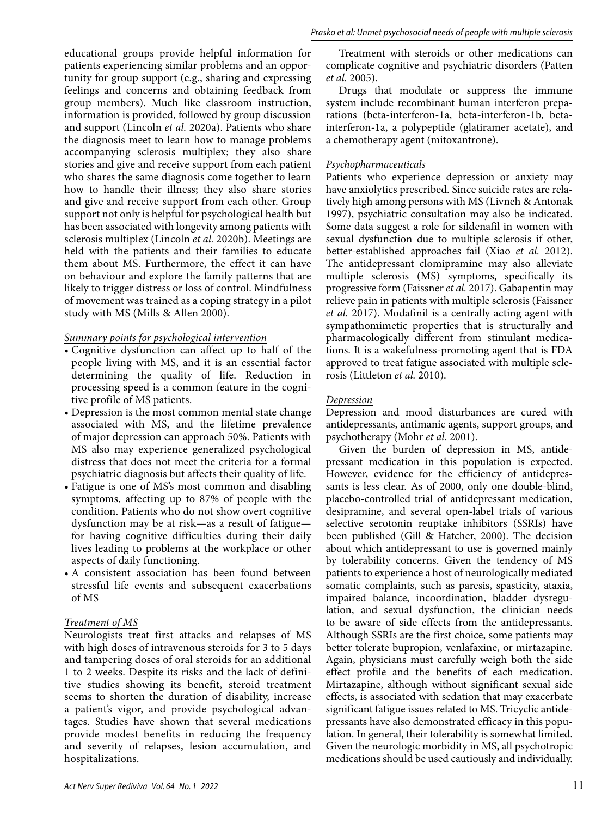educational groups provide helpful information for patients experiencing similar problems and an opportunity for group support (e.g., sharing and expressing feelings and concerns and obtaining feedback from group members). Much like classroom instruction, information is provided, followed by group discussion and support (Lincoln *et al.* 2020a). Patients who share the diagnosis meet to learn how to manage problems accompanying sclerosis multiplex; they also share stories and give and receive support from each patient who shares the same diagnosis come together to learn how to handle their illness; they also share stories and give and receive support from each other. Group support not only is helpful for psychological health but has been associated with longevity among patients with sclerosis multiplex (Lincoln *et al.* 2020b). Meetings are held with the patients and their families to educate them about MS. Furthermore, the effect it can have on behaviour and explore the family patterns that are likely to trigger distress or loss of control. Mindfulness of movement was trained as a coping strategy in a pilot study with MS (Mills & Allen 2000).

#### *Summary points for psychological intervention*

- Cognitive dysfunction can affect up to half of the people living with MS, and it is an essential factor determining the quality of life. Reduction in processing speed is a common feature in the cognitive profile of MS patients.
- Depression is the most common mental state change associated with MS, and the lifetime prevalence of major depression can approach 50%. Patients with MS also may experience generalized psychological distress that does not meet the criteria for a formal psychiatric diagnosis but affects their quality of life.
- Fatigue is one of MS's most common and disabling symptoms, affecting up to 87% of people with the condition. Patients who do not show overt cognitive dysfunction may be at risk—as a result of fatigue for having cognitive difficulties during their daily lives leading to problems at the workplace or other aspects of daily functioning.
- A consistent association has been found between stressful life events and subsequent exacerbations of MS

#### *Treatment of MS*

Neurologists treat first attacks and relapses of MS with high doses of intravenous steroids for 3 to 5 days and tampering doses of oral steroids for an additional 1 to 2 weeks. Despite its risks and the lack of definitive studies showing its benefit, steroid treatment seems to shorten the duration of disability, increase a patient's vigor, and provide psychological advantages. Studies have shown that several medications provide modest benefits in reducing the frequency and severity of relapses, lesion accumulation, and hospitalizations.

Treatment with steroids or other medications can complicate cognitive and psychiatric disorders (Patten *et al.* 2005).

Drugs that modulate or suppress the immune system include recombinant human interferon preparations (beta-interferon-1a, beta-interferon-1b, betainterferon-1a, a polypeptide (glatiramer acetate), and a chemotherapy agent (mitoxantrone).

#### *Psychopharmaceuticals*

Patients who experience depression or anxiety may have anxiolytics prescribed. Since suicide rates are relatively high among persons with MS (Livneh & Antonak 1997), psychiatric consultation may also be indicated. Some data suggest a role for sildenafil in women with sexual dysfunction due to multiple sclerosis if other, better-established approaches fail (Xiao *et al.* 2012). The antidepressant clomipramine may also alleviate multiple sclerosis (MS) symptoms, specifically its progressive form (Faissner *et al.* 2017). Gabapentin may relieve pain in patients with multiple sclerosis (Faissner *et al.* 2017). Modafinil is a centrally acting agent with sympathomimetic properties that is structurally and pharmacologically different from stimulant medications. It is a wakefulness-promoting agent that is FDA approved to treat fatigue associated with multiple sclerosis (Littleton *et al.* 2010).

#### *Depression*

Depression and mood disturbances are cured with antidepressants, antimanic agents, support groups, and psychotherapy (Mohr *et al.* 2001).

Given the burden of depression in MS, antidepressant medication in this population is expected. However, evidence for the efficiency of antidepressants is less clear. As of 2000, only one double-blind, placebo-controlled trial of antidepressant medication, desipramine, and several open-label trials of various selective serotonin reuptake inhibitors (SSRIs) have been published (Gill & Hatcher, 2000). The decision about which antidepressant to use is governed mainly by tolerability concerns. Given the tendency of MS patients to experience a host of neurologically mediated somatic complaints, such as paresis, spasticity, ataxia, impaired balance, incoordination, bladder dysregulation, and sexual dysfunction, the clinician needs to be aware of side effects from the antidepressants. Although SSRIs are the first choice, some patients may better tolerate bupropion, venlafaxine, or mirtazapine. Again, physicians must carefully weigh both the side effect profile and the benefits of each medication. Mirtazapine, although without significant sexual side effects, is associated with sedation that may exacerbate significant fatigue issues related to MS. Tricyclic antidepressants have also demonstrated efficacy in this population. In general, their tolerability is somewhat limited. Given the neurologic morbidity in MS, all psychotropic medications should be used cautiously and individually.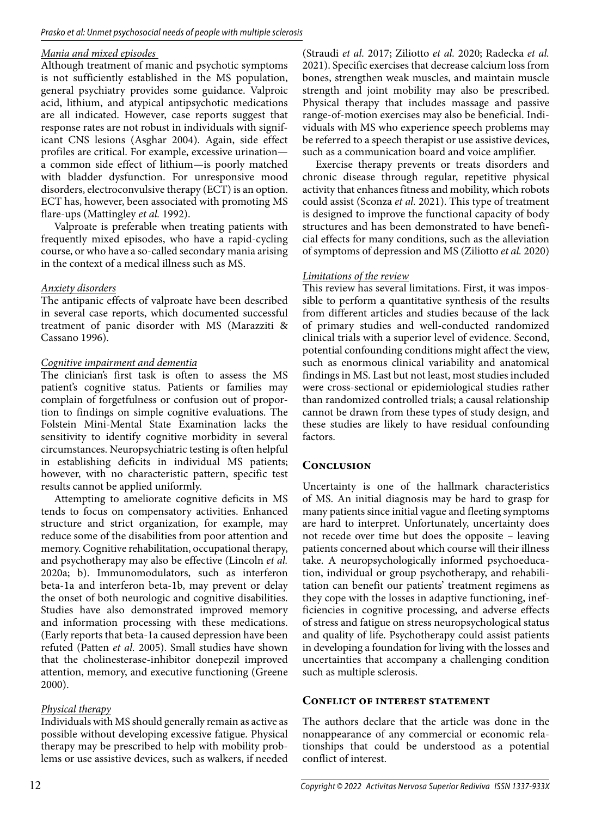#### *Mania and mixed episodes*

Although treatment of manic and psychotic symptoms is not sufficiently established in the MS population, general psychiatry provides some guidance. Valproic acid, lithium, and atypical antipsychotic medications are all indicated. However, case reports suggest that response rates are not robust in individuals with significant CNS lesions (Asghar 2004). Again, side effect profiles are critical. For example, excessive urination a common side effect of lithium—is poorly matched with bladder dysfunction. For unresponsive mood disorders, electroconvulsive therapy (ECT) is an option. ECT has, however, been associated with promoting MS flare-ups (Mattingley *et al.* 1992).

Valproate is preferable when treating patients with frequently mixed episodes, who have a rapid-cycling course, or who have a so-called secondary mania arising in the context of a medical illness such as MS.

#### *Anxiety disorders*

The antipanic effects of valproate have been described in several case reports, which documented successful treatment of panic disorder with MS (Marazziti & Cassano 1996).

#### *Cognitive impairment and dementia*

The clinician's first task is often to assess the MS patient's cognitive status. Patients or families may complain of forgetfulness or confusion out of proportion to findings on simple cognitive evaluations. The Folstein Mini-Mental State Examination lacks the sensitivity to identify cognitive morbidity in several circumstances. Neuropsychiatric testing is often helpful in establishing deficits in individual MS patients; however, with no characteristic pattern, specific test results cannot be applied uniformly.

Attempting to ameliorate cognitive deficits in MS tends to focus on compensatory activities. Enhanced structure and strict organization, for example, may reduce some of the disabilities from poor attention and memory. Cognitive rehabilitation, occupational therapy, and psychotherapy may also be effective (Lincoln *et al.* 2020a; b). Immunomodulators, such as interferon beta-1a and interferon beta-1b, may prevent or delay the onset of both neurologic and cognitive disabilities. Studies have also demonstrated improved memory and information processing with these medications. (Early reports that beta-1a caused depression have been refuted (Patten *et al.* 2005). Small studies have shown that the cholinesterase-inhibitor donepezil improved attention, memory, and executive functioning (Greene 2000).

#### *Physical therapy*

Individuals with MS should generally remain as active as possible without developing excessive fatigue. Physical therapy may be prescribed to help with mobility problems or use assistive devices, such as walkers, if needed (Straudi *et al.* 2017; Ziliotto *et al.* 2020; Radecka *et al.* 2021). Specific exercises that decrease calcium loss from bones, strengthen weak muscles, and maintain muscle strength and joint mobility may also be prescribed. Physical therapy that includes massage and passive range-of-motion exercises may also be beneficial. Individuals with MS who experience speech problems may be referred to a speech therapist or use assistive devices, such as a communication board and voice amplifier.

Exercise therapy prevents or treats disorders and chronic disease through regular, repetitive physical activity that enhances fitness and mobility, which robots could assist (Sconza *et al.* 2021). This type of treatment is designed to improve the functional capacity of body structures and has been demonstrated to have beneficial effects for many conditions, such as the alleviation of symptoms of depression and MS (Ziliotto *et al.* 2020)

# *Limitations of the review*

This review has several limitations. First, it was impossible to perform a quantitative synthesis of the results from different articles and studies because of the lack of primary studies and well-conducted randomized clinical trials with a superior level of evidence. Second, potential confounding conditions might affect the view, such as enormous clinical variability and anatomical findings in MS. Last but not least, most studies included were cross-sectional or epidemiological studies rather than randomized controlled trials; a causal relationship cannot be drawn from these types of study design, and these studies are likely to have residual confounding factors.

# **Conclusion**

Uncertainty is one of the hallmark characteristics of MS. An initial diagnosis may be hard to grasp for many patients since initial vague and fleeting symptoms are hard to interpret. Unfortunately, uncertainty does not recede over time but does the opposite – leaving patients concerned about which course will their illness take. A neuropsychologically informed psychoeducation, individual or group psychotherapy, and rehabilitation can benefit our patients' treatment regimens as they cope with the losses in adaptive functioning, inefficiencies in cognitive processing, and adverse effects of stress and fatigue on stress neuropsychological status and quality of life. Psychotherapy could assist patients in developing a foundation for living with the losses and uncertainties that accompany a challenging condition such as multiple sclerosis.

# **Conflict of interest statement**

The authors declare that the article was done in the nonappearance of any commercial or economic relationships that could be understood as a potential conflict of interest.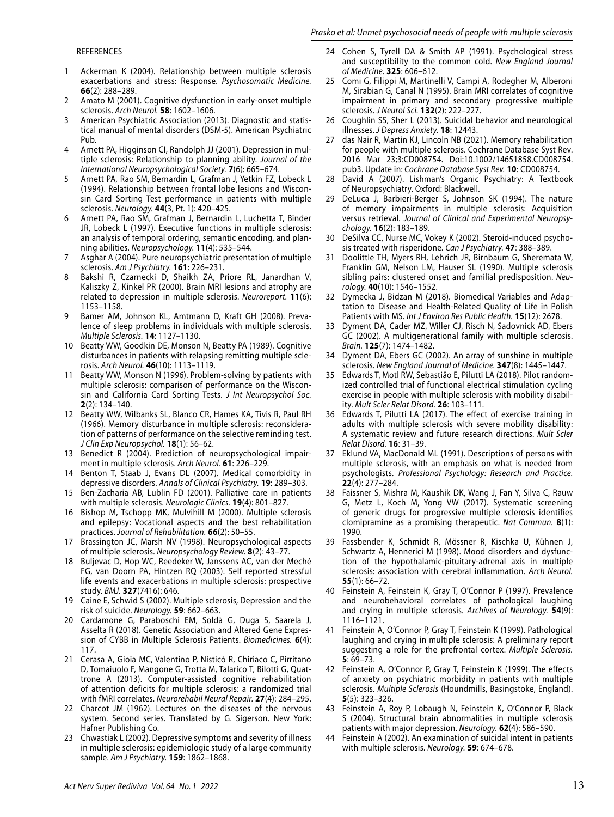#### Prasko et al: Unmet psychosocial needs of people with multiple sclerosis

#### REFERENCES

- 1 Ackerman K (2004). Relationship between multiple sclerosis exacerbations and stress: Response. Psychosomatic Medicine. **66**(2): 288–289.
- 2 Amato M (2001). Cognitive dysfunction in early-onset multiple sclerosis. Arch Neurol. **58**: 1602–1606.
- 3 American Psychiatric Association (2013). Diagnostic and statistical manual of mental disorders (DSM-5). American Psychiatric Pub.
- 4 Arnett PA, Higginson CI, Randolph JJ (2001). Depression in multiple sclerosis: Relationship to planning ability. Journal of the International Neuropsychological Society. **7**(6): 665–674.
- 5 Arnett PA, Rao SM, Bernardin L, Grafman J, Yetkin FZ, Lobeck L (1994). Relationship between frontal lobe lesions and Wisconsin Card Sorting Test performance in patients with multiple sclerosis. Neurology. **44**(3, Pt. 1): 420–425.
- 6 Arnett PA, Rao SM, Grafman J, Bernardin L, Luchetta T, Binder JR, Lobeck L (1997). Executive functions in multiple sclerosis: an analysis of temporal ordering, semantic encoding, and planning abilities. Neuropsychology. **11**(4): 535–544.
- 7 Asghar A (2004). Pure neuropsychiatric presentation of multiple sclerosis. Am J Psychiatry. **161**: 226–231.
- 8 Bakshi R, Czarnecki D, Shaikh ZA, Priore RL, Janardhan V, Kaliszky Z, Kinkel PR (2000). Brain MRI lesions and atrophy are related to depression in multiple sclerosis. Neuroreport. **11**(6): 1153–1158.
- 9 Bamer AM, Johnson KL, Amtmann D, Kraft GH (2008). Prevalence of sleep problems in individuals with multiple sclerosis. Multiple Sclerosis. **14**: 1127–1130.
- 10 Beatty WW, Goodkin DE, Monson N, Beatty PA (1989). Cognitive disturbances in patients with relapsing remitting multiple sclerosis. Arch Neurol. **46**(10): 1113–1119.
- Beatty WW, Monson N (1996). Problem-solving by patients with multiple sclerosis: comparison of performance on the Wisconsin and California Card Sorting Tests. J Int Neuropsychol Soc. **2**(2): 134–140.
- 12 Beatty WW, Wilbanks SL, Blanco CR, Hames KA, Tivis R, Paul RH (1966). Memory disturbance in multiple sclerosis: reconsideration of patterns of performance on the selective reminding test. J Clin Exp Neuropsychol. **18**(1): 56–62.
- 13 Benedict R (2004). Prediction of neuropsychological impairment in multiple sclerosis. Arch Neurol. **61**: 226–229.
- Benton T, Staab J, Evans DL (2007). Medical comorbidity in depressive disorders. Annals of Clinical Psychiatry. **19**: 289–303.
- 15 Ben-Zacharia AB, Lublin FD (2001). Palliative care in patients with multiple sclerosis. Neurologic Clinics. **19**(4): 801–827.
- 16 Bishop M, Tschopp MK, Mulvihill M (2000). Multiple sclerosis and epilepsy: Vocational aspects and the best rehabilitation practices. Journal of Rehabilitation. **66**(2): 50–55.
- 17 Brassington JC, Marsh NV (1998). Neuropsychological aspects of multiple sclerosis. Neuropsychology Review. **8**(2): 43–77.
- 18 Buljevac D, Hop WC, Reedeker W, Janssens AC, van der Meché FG, van Doorn PA, Hintzen RQ (2003). Self reported stressful life events and exacerbations in multiple sclerosis: prospective study. BMJ. **327**(7416): 646.
- 19 Caine E, Schwid S (2002). Multiple sclerosis, Depression and the risk of suicide. Neurology. **59**: 662–663.
- 20 Cardamone G, Paraboschi EM, Soldà G, Duga S, Saarela J, Asselta R (2018). Genetic Association and Altered Gene Expression of CYBB in Multiple Sclerosis Patients. Biomedicines. **6**(4): 117.
- 21 Cerasa A, Gioia MC, Valentino P, Nisticò R, Chiriaco C, Pirritano D, Tomaiuolo F, Mangone G, Trotta M, Talarico T, Bilotti G, Quattrone A (2013). Computer-assisted cognitive rehabilitation of attention deficits for multiple sclerosis: a randomized trial with fMRI correlates. Neurorehabil Neural Repair. **27**(4): 284–295.
- 22 Charcot JM (1962). Lectures on the diseases of the nervous system. Second series. Translated by G. Sigerson. New York: Hafner Publishing Co.
- 23 Chwastiak L (2002). Depressive symptoms and severity of illness in multiple sclerosis: epidemiologic study of a large community sample. Am J Psychiatry. **159**: 1862–1868.
- 24 Cohen S, Tyrell DA & Smith AP (1991). Psychological stress and susceptibility to the common cold. New England Journal of Medicine. **325**: 606–612.
- 25 Comi G, Filippi M, Martinelli V, Campi A, Rodegher M, Alberoni M, Sirabian G, Canal N (1995). Brain MRI correlates of cognitive impairment in primary and secondary progressive multiple sclerosis. J Neurol Sci. **132**(2): 222–227.
- 26 Coughlin SS, Sher L (2013). Suicidal behavior and neurological illnesses. J Depress Anxiety. **18**: 12443.
- 27 das Nair R, Martin KJ, Lincoln NB (2021). Memory rehabilitation for people with multiple sclerosis. Cochrane Database Syst Rev. 2016 Mar 23;3:CD008754. Doi:10.1002/14651858.CD008754. pub3. Update in: Cochrane Database Syst Rev. **10**: CD008754.
- David A (2007). Lishman's Organic Psychiatry: A Textbook of Neuropsychiatry. Oxford: Blackwell.
- 29 DeLuca J, Barbieri-Berger S, Johnson SK (1994). The nature of memory impairments in multiple sclerosis: Acquisition versus retrieval. Journal of Clinical and Experimental Neuropsychology. **16**(2): 183–189.
- 30 DeSilva CC, Nurse MC, Vokey K (2002). Steroid-induced psychosis treated with risperidone. Can J Psychiatry. **47**: 388–389.
- 31 Doolittle TH, Myers RH, Lehrich JR, Birnbaum G, Sheremata W, Franklin GM, Nelson LM, Hauser SL (1990). Multiple sclerosis sibling pairs: clustered onset and familial predisposition. Neurology. **40**(10): 1546–1552.
- 32 Dymecka J, Bidzan M (2018). Biomedical Variables and Adaptation to Disease and Health-Related Quality of Life in Polish Patients with MS. Int J Environ Res Public Health. **15**(12): 2678.
- 33 Dyment DA, Cader MZ, Willer CJ, Risch N, Sadovnick AD, Ebers GC (2002). A multigenerational family with multiple sclerosis. Brain. **125**(7): 1474–1482.
- Dyment DA, Ebers GC (2002). An array of sunshine in multiple sclerosis. New England Journal of Medicine. **347**(8): 1445–1447.
- 35 Edwards T, Motl RW, Sebastião E, Pilutti LA (2018). Pilot randomized controlled trial of functional electrical stimulation cycling exercise in people with multiple sclerosis with mobility disability. Mult Scler Relat Disord. **26**: 103–111.
- 36 Edwards T, Pilutti LA (2017). The effect of exercise training in adults with multiple sclerosis with severe mobility disability: A systematic review and future research directions. Mult Scler Relat Disord. **16**: 31–39.
- 37 Eklund VA, MacDonald ML (1991). Descriptions of persons with multiple sclerosis, with an emphasis on what is needed from psychologists. Professional Psychology: Research and Practice. **22**(4): 277–284.
- 38 Faissner S, Mishra M, Kaushik DK, Wang J, Fan Y, Silva C, Rauw G, Metz L, Koch M, Yong VW (2017). Systematic screening of generic drugs for progressive multiple sclerosis identifies clomipramine as a promising therapeutic. Nat Commun. **8**(1): 1990.
- 39 Fassbender K, Schmidt R, Mössner R, Kischka U, Kühnen J, Schwartz A, Hennerici M (1998). Mood disorders and dysfunction of the hypothalamic-pituitary-adrenal axis in multiple sclerosis: association with cerebral inflammation. Arch Neurol. **55**(1): 66–72.
- 40 Feinstein A, Feinstein K, Gray T, O'Connor P (1997). Prevalence and neurobehavioral correlates of pathological laughing and crying in multiple sclerosis. Archives of Neurology. **54**(9): 1116–1121.
- 41 Feinstein A, O'Connor P, Gray T, Feinstein K (1999). Pathological laughing and crying in multiple sclerosis: A preliminary report suggesting a role for the prefrontal cortex. Multiple Sclerosis. **5**: 69–73.
- 42 Feinstein A, O'Connor P, Gray T, Feinstein K (1999). The effects of anxiety on psychiatric morbidity in patients with multiple sclerosis. Multiple Sclerosis (Houndmills, Basingstoke, England). **5**(5): 323–326.
- 43 Feinstein A, Roy P, Lobaugh N, Feinstein K, O'Connor P, Black S (2004). Structural brain abnormalities in multiple sclerosis patients with major depression. Neurology. **62**(4): 586–590.
- Feinstein A (2002). An examination of suicidal intent in patients with multiple sclerosis. Neurology. **59**: 674–678.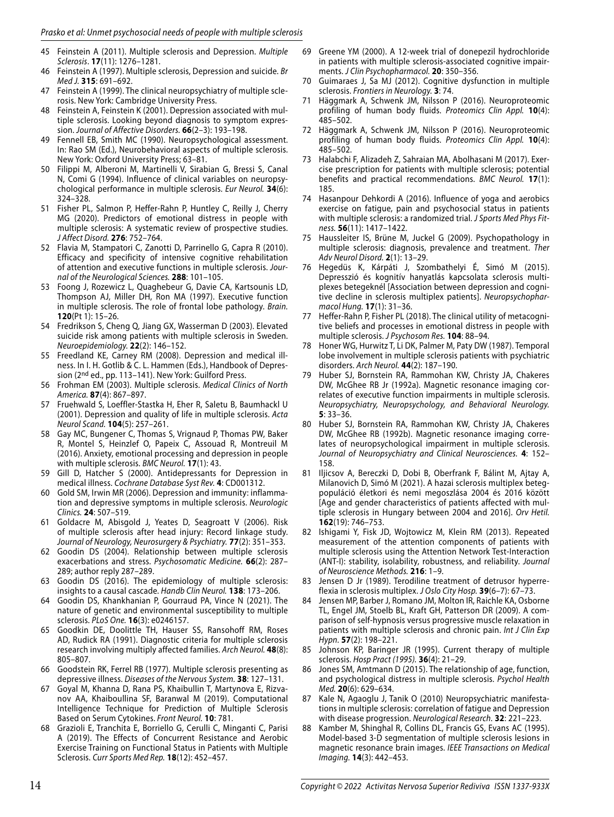- 45 Feinstein A (2011). Multiple sclerosis and Depression. Multiple Sclerosis. **17**(11): 1276–1281.
- 46 Feinstein A (1997). Multiple sclerosis, Depression and suicide. Br Med J. **315**: 691–692.
- 47 Feinstein A (1999). The clinical neuropsychiatry of multiple sclerosis. New York: Cambridge University Press.
- 48 Feinstein A, Feinstein K (2001). Depression associated with multiple sclerosis. Looking beyond diagnosis to symptom expression. Journal of Affective Disorders. **66**(2–3): 193–198.
- 49 Fennell EB, Smith MC (1990). Neuropsychological assessment. In: Rao SM (Ed.), Neurobehavioral aspects of multiple sclerosis. New York: Oxford University Press; 63–81.
- 50 Filippi M, Alberoni M, Martinelli V, Sirabian G, Bressi S, Canal N, Comi G (1994). Influence of clinical variables on neuropsychological performance in multiple sclerosis. Eur Neurol. **34**(6): 324–328.
- 51 Fisher PL, Salmon P, Heffer-Rahn P, Huntley C, Reilly J, Cherry MG (2020). Predictors of emotional distress in people with multiple sclerosis: A systematic review of prospective studies. J Affect Disord. **276**: 752–764.
- 52 Flavia M, Stampatori C, Zanotti D, Parrinello G, Capra R (2010). Efficacy and specificity of intensive cognitive rehabilitation of attention and executive functions in multiple sclerosis. Journal of the Neurological Sciences. **288**: 101–105.
- 53 Foong J, Rozewicz L, Quaghebeur G, Davie CA, Kartsounis LD, Thompson AJ, Miller DH, Ron MA (1997). Executive function in multiple sclerosis. The role of frontal lobe pathology. Brain. **120**(Pt 1): 15–26.
- 54 Fredrikson S, Cheng Q, Jiang GX, Wasserman D (2003). Elevated suicide risk among patients with multiple sclerosis in Sweden. Neuroepidemiology. **22**(2): 146–152.
- 55 Freedland KE, Carney RM (2008). Depression and medical illness. In I. H. Gotlib & C. L. Hammen (Eds.), Handbook of Depression (2<sup>nd</sup> ed., pp. 113-141). New York: Guilford Press.
- 56 Frohman EM (2003). Multiple sclerosis. Medical Clinics of North America. **87**(4): 867–897.
- 57 Fruehwald S, Loeffler-Stastka H, Eher R, Saletu B, Baumhackl U (2001). Depression and quality of life in multiple sclerosis. Acta Neurol Scand. **104**(5): 257–261.
- 58 Gay MC, Bungener C, Thomas S, Vrignaud P, Thomas PW, Baker R, Montel S, Heinzlef O, Papeix C, Assouad R, Montreuil M (2016). Anxiety, emotional processing and depression in people with multiple sclerosis. BMC Neurol. **17**(1): 43.
- 59 Gill D, Hatcher S (2000). Antidepressants for Depression in medical illness. Cochrane Database Syst Rev. **4**: CD001312.
- 60 Gold SM, Irwin MR (2006). Depression and immunity: inflammation and depressive symptoms in multiple sclerosis. Neurologic Clinics. **24**: 507–519.
- 61 Goldacre M, Abisgold J, Yeates D, Seagroatt V (2006). Risk of multiple sclerosis after head injury: Record linkage study. Journal of Neurology, Neurosurgery & Psychiatry. **77**(2): 351–353.
- 62 Goodin DS (2004). Relationship between multiple sclerosis exacerbations and stress. Psychosomatic Medicine. **66**(2): 287– 289; author reply 287–289.
- 63 Goodin DS (2016). The epidemiology of multiple sclerosis: insights to a causal cascade. Handb Clin Neurol. **138**: 173–206.
- 64 Goodin DS, Khankhanian P, Gourraud PA, Vince N (2021). The nature of genetic and environmental susceptibility to multiple sclerosis. PLoS One. **16**(3): e0246157.
- 65 Goodkin DE, Doolittle TH, Hauser SS, Ransohoff RM, Roses AD, Rudick RA (1991). Diagnostic criteria for multiple sclerosis research involving multiply affected families. Arch Neurol. **48**(8): 805–807.
- 66 Goodstein RK, Ferrel RB (1977). Multiple sclerosis presenting as depressive illness. Diseases of the Nervous System. **38**: 127–131.
- 67 Goyal M, Khanna D, Rana PS, Khaibullin T, Martynova E, Rizvanov AA, Khaiboullina SF, Baranwal M (2019). Computational Intelligence Technique for Prediction of Multiple Sclerosis Based on Serum Cytokines. Front Neurol. **10**: 781.
- 68 Grazioli E, Tranchita E, Borriello G, Cerulli C, Minganti C, Parisi A (2019). The Effects of Concurrent Resistance and Aerobic Exercise Training on Functional Status in Patients with Multiple Sclerosis. Curr Sports Med Rep. **18**(12): 452–457.
- 69 Greene YM (2000). A 12-week trial of donepezil hydrochloride in patients with multiple sclerosis-associated cognitive impairments. J Clin Psychopharmacol. **20**: 350–356.
- 70 Guimaraes J, Sa MJ (2012). Cognitive dysfunction in multiple sclerosis. Frontiers in Neurology. **3**: 74.
- Häggmark A, Schwenk JM, Nilsson P (2016). Neuroproteomic profiling of human body fluids. Proteomics Clin Appl. **10**(4): 485–502.
- 72 Häggmark A, Schwenk JM, Nilsson P (2016). Neuroproteomic profiling of human body fluids. Proteomics Clin Appl. **10**(4): 485–502.
- 73 Halabchi F, Alizadeh Z, Sahraian MA, Abolhasani M (2017). Exercise prescription for patients with multiple sclerosis; potential benefits and practical recommendations. BMC Neurol. **17**(1): 185.
- 74 Hasanpour Dehkordi A (2016). Influence of yoga and aerobics exercise on fatigue, pain and psychosocial status in patients with multiple sclerosis: a randomized trial. J Sports Med Phys Fitness. **56**(11): 1417–1422.
- 75 Haussleiter IS, Brüne M, Juckel G (2009). Psychopathology in multiple sclerosis: diagnosis, prevalence and treatment. Ther Adv Neurol Disord. **2**(1): 13–29.
- 76 Hegedüs K, Kárpáti J, Szombathelyi É, Simó M (2015). Depresszió és kognitív hanyatlás kapcsolata sclerosis multiplexes betegeknél [Association between depression and cognitive decline in sclerosis multiplex patients]. Neuropsychopharmacol Hung. **17**(1): 31–36.
- 77 Heffer-Rahn P, Fisher PL (2018). The clinical utility of metacognitive beliefs and processes in emotional distress in people with multiple sclerosis. J Psychosom Res. **104**: 88–94.
- 78 Honer WG, Hurwitz T, Li DK, Palmer M, Paty DW (1987). Temporal lobe involvement in multiple sclerosis patients with psychiatric disorders. Arch Neurol. **44**(2): 187–190.
- Huber SJ, Bornstein RA, Rammohan KW, Christy JA, Chakeres DW, McGhee RB Jr (1992a). Magnetic resonance imaging correlates of executive function impairments in multiple sclerosis. Neuropsychiatry, Neuropsychology, and Behavioral Neurology. **5**: 33–36.
- 80 Huber SJ, Bornstein RA, Rammohan KW, Christy JA, Chakeres DW, McGhee RB (1992b). Magnetic resonance imaging correlates of neuropsychological impairment in multiple sclerosis. Journal of Neuropsychiatry and Clinical Neurosciences. **4**: 152– 158.
- 81 Iljicsov A, Bereczki D, Dobi B, Oberfrank F, Bálint M, Ajtay A, Milanovich D, Simó M (2021). A hazai sclerosis multiplex betegpopuláció életkori és nemi megoszlása 2004 és 2016 között [Age and gender characteristics of patients affected with multiple sclerosis in Hungary between 2004 and 2016]. Orv Hetil. **162**(19): 746–753.
- 82 Ishigami Y, Fisk JD, Wojtowicz M, Klein RM (2013). Repeated measurement of the attention components of patients with multiple sclerosis using the Attention Network Test-Interaction (ANT-I): stability, isolability, robustness, and reliability. Journal of Neuroscience Methods. **216**: 1–9.
- 83 Jensen D Jr (1989). Terodiline treatment of detrusor hyperreflexia in sclerosis multiplex. J Oslo City Hosp. **39**(6–7): 67–73.
- 84 Jensen MP, Barber J, Romano JM, Molton IR, Raichle KA, Osborne TL, Engel JM, Stoelb BL, Kraft GH, Patterson DR (2009). A comparison of self-hypnosis versus progressive muscle relaxation in patients with multiple sclerosis and chronic pain. Int J Clin Exp Hypn. **57**(2): 198–221.
- 85 Johnson KP, Baringer JR (1995). Current therapy of multiple sclerosis. Hosp Pract (1995). **36**(4): 21–29.
- Jones SM, Amtmann D (2015). The relationship of age, function, and psychological distress in multiple sclerosis. Psychol Health Med. **20**(6): 629–634.
- 87 Kale N, Agaoglu J, Tanik O (2010) Neuropsychiatric manifestations in multiple sclerosis: correlation of fatigue and Depression with disease progression. Neurological Research. **32**: 221–223.
- 88 Kamber M, Shinghal R, Collins DL, Francis GS, Evans AC (1995). Model-based 3-D segmentation of multiple sclerosis lesions in magnetic resonance brain images. IEEE Transactions on Medical Imaging. **14**(3): 442–453.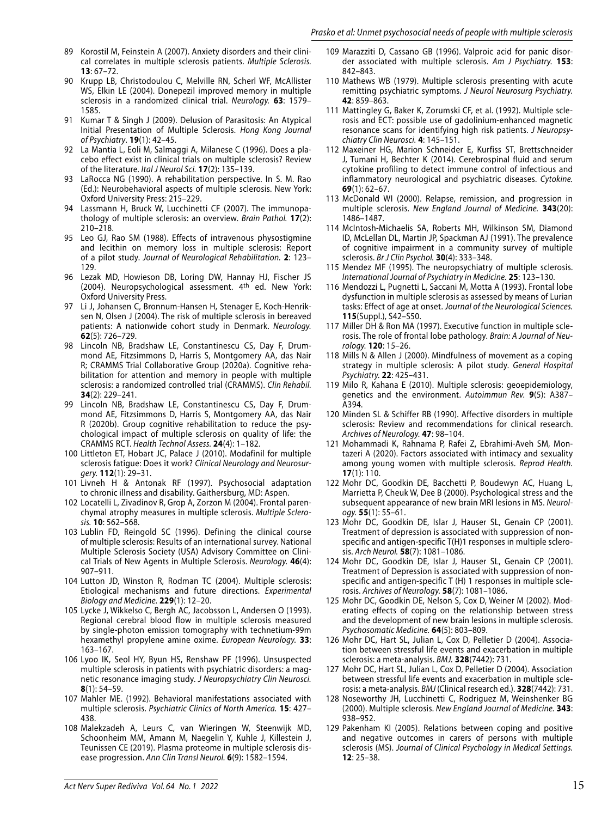- 89 Korostil M, Feinstein A (2007). Anxiety disorders and their clinical correlates in multiple sclerosis patients. Multiple Sclerosis. **13**: 67–72.
- 90 Krupp LB, Christodoulou C, Melville RN, Scherl WF, McAllister WS, Elkin LE (2004). Donepezil improved memory in multiple sclerosis in a randomized clinical trial. Neurology. **63**: 1579– 1585.
- 91 Kumar T & Singh J (2009). Delusion of Parasitosis: An Atypical Initial Presentation of Multiple Sclerosis. Hong Kong Journal of Psychiatry. **19**(1): 42–45.
- 92 La Mantia L, Eoli M, Salmaggi A, Milanese C (1996). Does a placebo effect exist in clinical trials on multiple sclerosis? Review of the literature. Ital J Neurol Sci. **17**(2): 135–139.
- 93 LaRocca NG (1990). A rehabilitation perspective. In S. M. Rao (Ed.): Neurobehavioral aspects of multiple sclerosis. New York: Oxford University Press: 215–229.
- 94 Lassmann H, Bruck W, Lucchinetti CF (2007). The immunopathology of multiple sclerosis: an overview. Brain Pathol. **17**(2): 210–218.
- 95 Leo GJ, Rao SM (1988). Effects of intravenous physostigmine and lecithin on memory loss in multiple sclerosis: Report of a pilot study. Journal of Neurological Rehabilitation. **2**: 123– 129.
- 96 Lezak MD, Howieson DB, Loring DW, Hannay HJ, Fischer JS (2004). Neuropsychological assessment. 4th ed. New York: Oxford University Press.
- 97 Li J, Johansen C, Bronnum-Hansen H, Stenager E, Koch-Henriksen N, Olsen J (2004). The risk of multiple sclerosis in bereaved patients: A nationwide cohort study in Denmark. Neurology. **62**(5): 726–729.
- 98 Lincoln NB, Bradshaw LE, Constantinescu CS, Day F, Drummond AE, Fitzsimmons D, Harris S, Montgomery AA, das Nair R; CRAMMS Trial Collaborative Group (2020a). Cognitive rehabilitation for attention and memory in people with multiple sclerosis: a randomized controlled trial (CRAMMS). Clin Rehabil. **34**(2): 229–241.
- 99 Lincoln NB, Bradshaw LE, Constantinescu CS, Day F, Drummond AE, Fitzsimmons D, Harris S, Montgomery AA, das Nair R (2020b). Group cognitive rehabilitation to reduce the psychological impact of multiple sclerosis on quality of life: the CRAMMS RCT. Health Technol Assess. **24**(4): 1–182.
- 100 Littleton ET, Hobart JC, Palace J (2010). Modafinil for multiple sclerosis fatigue: Does it work? Clinical Neurology and Neurosurgery. **112**(1): 29–31.
- 101 Livneh H & Antonak RF (1997). Psychosocial adaptation to chronic illness and disability. Gaithersburg, MD: Aspen.
- 102 Locatelli L, Zivadinov R, Grop A, Zorzon M (2004). Frontal parenchymal atrophy measures in multiple sclerosis. Multiple Sclerosis. **10**: 562–568.
- 103 Lublin FD, Reingold SC (1996). Defining the clinical course of multiple sclerosis: Results of an international survey. National Multiple Sclerosis Society (USA) Advisory Committee on Clinical Trials of New Agents in Multiple Sclerosis. Neurology. **46**(4): 907–911.
- 104 Lutton JD, Winston R, Rodman TC (2004). Multiple sclerosis: Etiological mechanisms and future directions. Experimental Biology and Medicine. **229**(1): 12–20.
- 105 Lycke J, Wikkelso C, Bergh AC, Jacobsson L, Andersen O (1993). Regional cerebral blood flow in multiple sclerosis measured by single-photon emission tomography with technetium-99m hexamethyl propylene amine oxime. European Neurology. **33**: 163–167.
- 106 Lyoo IK, Seol HY, Byun HS, Renshaw PF (1996). Unsuspected multiple sclerosis in patients with psychiatric disorders: a magnetic resonance imaging study. J Neuropsychiatry Clin Neurosci. **8**(1): 54–59.
- 107 Mahler ME. (1992). Behavioral manifestations associated with multiple sclerosis. Psychiatric Clinics of North America. **15**: 427– 438.
- 108 Malekzadeh A, Leurs C, van Wieringen W, Steenwijk MD, Schoonheim MM, Amann M, Naegelin Y, Kuhle J, Killestein J, Teunissen CE (2019). Plasma proteome in multiple sclerosis disease progression. Ann Clin Transl Neurol. **6**(9): 1582–1594.
- 109 Marazziti D, Cassano GB (1996). Valproic acid for panic disorder associated with multiple sclerosis. Am J Psychiatry. **153**: 842–843.
- 110 Mathews WB (1979). Multiple sclerosis presenting with acute remitting psychiatric symptoms. J Neurol Neurosurg Psychiatry. **42**: 859–863.
- 111 Mattingley G, Baker K, Zorumski CF, et al. (1992). Multiple sclerosis and ECT: possible use of gadolinium-enhanced magnetic resonance scans for identifying high risk patients. J Neuropsychiatry Clin Neurosci. **4**: 145–151.
- 112 Maxeiner HG, Marion Schneider E, Kurfiss ST, Brettschneider J, Tumani H, Bechter K (2014). Cerebrospinal fluid and serum cytokine profiling to detect immune control of infectious and inflammatory neurological and psychiatric diseases. Cytokine. **69**(1): 62–67.
- 113 McDonald WI (2000). Relapse, remission, and progression in multiple sclerosis. New England Journal of Medicine. **343**(20): 1486–1487.
- 114 McIntosh-Michaelis SA, Roberts MH, Wilkinson SM, Diamond ID, McLellan DL, Martin JP, Spackman AJ (1991). The prevalence of cognitive impairment in a community survey of multiple sclerosis. Br J Clin Psychol. **30**(4): 333–348.
- 115 Mendez MF (1995). The neuropsychiatry of multiple sclerosis. International Journal of Psychiatry in Medicine. **25**: 123–130.
- 116 Mendozzi L, Pugnetti L, Saccani M, Motta A (1993). Frontal lobe dysfunction in multiple sclerosis as assessed by means of Lurian tasks: Effect of age at onset. Journal of the Neurological Sciences. **115**(Suppl.), S42–S50.
- 117 Miller DH & Ron MA (1997). Executive function in multiple sclerosis. The role of frontal lobe pathology. Brain: A Journal of Neurology. **120**: 15–26.
- 118 Mills N & Allen J (2000). Mindfulness of movement as a coping strategy in multiple sclerosis: A pilot study. General Hospital Psychiatry. **22**: 425–431.
- 119 Milo R, Kahana E (2010). Multiple sclerosis: geoepidemiology, genetics and the environment. Autoimmun Rev. **9**(5): A387– A394.
- 120 Minden SL & Schiffer RB (1990). Affective disorders in multiple sclerosis: Review and recommendations for clinical research. Archives of Neurology. **47**: 98–104.
- 121 Mohammadi K, Rahnama P, Rafei Z, Ebrahimi-Aveh SM, Montazeri A (2020). Factors associated with intimacy and sexuality among young women with multiple sclerosis. Reprod Health. **17**(1): 110.
- 122 Mohr DC, Goodkin DE, Bacchetti P, Boudewyn AC, Huang L, Marrietta P, Cheuk W, Dee B (2000). Psychological stress and the subsequent appearance of new brain MRI lesions in MS. Neurology. **55**(1): 55–61.
- 123 Mohr DC, Goodkin DE, Islar J, Hauser SL, Genain CP (2001). Treatment of depression is associated with suppression of nonspecific and antigen-specific T(H)1 responses in multiple sclerosis. Arch Neurol. **58**(7): 1081–1086.
- 124 Mohr DC, Goodkin DE, Islar J, Hauser SL, Genain CP (2001). Treatment of Depression is associated with suppression of nonspecific and antigen-specific T (H) 1 responses in multiple sclerosis. Archives of Neurology. **58**(7): 1081–1086.
- 125 Mohr DC, Goodkin DE, Nelson S, Cox D, Weiner M (2002). Moderating effects of coping on the relationship between stress and the development of new brain lesions in multiple sclerosis. Psychosomatic Medicine. **64**(5): 803–809.
- 126 Mohr DC, Hart SL, Julian L, Cox D, Pelletier D (2004). Association between stressful life events and exacerbation in multiple sclerosis: a meta-analysis. BMJ. **328**(7442): 731.
- 127 Mohr DC, Hart SL, Julian L, Cox D, Pelletier D (2004). Association between stressful life events and exacerbation in multiple sclerosis: a meta-analysis. BMJ (Clinical research ed.). **328**(7442): 731.
- 128 Noseworthy JH, Lucchinetti C, Rodriguez M, Weinshenker BG (2000). Multiple sclerosis. New England Journal of Medicine. **343**: 938–952.
- 129 Pakenham KI (2005). Relations between coping and positive and negative outcomes in carers of persons with multiple sclerosis (MS). Journal of Clinical Psychology in Medical Settings. **12**: 25–38.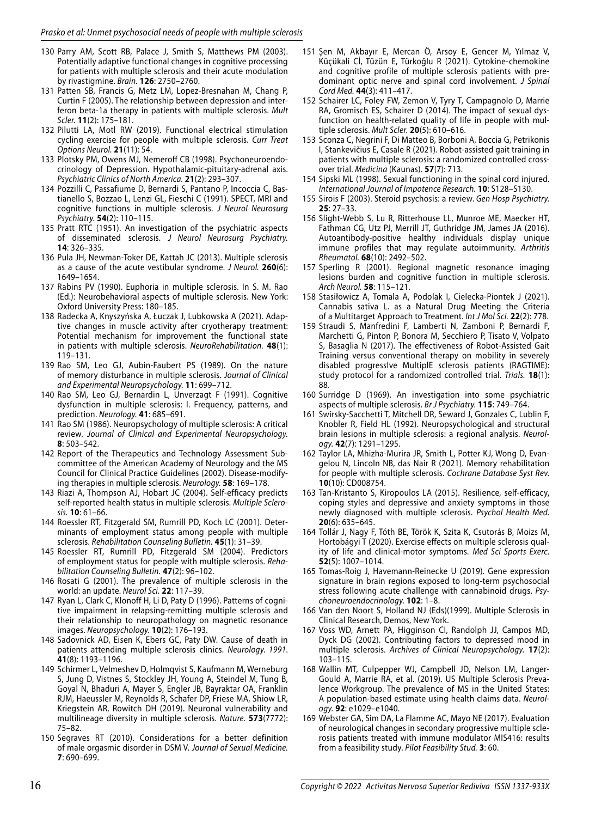- 130 Parry AM, Scott RB, Palace J, Smith S, Matthews PM (2003). Potentially adaptive functional changes in cognitive processing for patients with multiple sclerosis and their acute modulation by rivastigmine. Brain. **126**: 2750–2760.
- 131 Patten SB, Francis G, Metz LM, Lopez-Bresnahan M, Chang P, Curtin F (2005). The relationship between depression and interferon beta-1a therapy in patients with multiple sclerosis. Mult Scler. **11**(2): 175–181.
- 132 Pilutti LA, Motl RW (2019). Functional electrical stimulation cycling exercise for people with multiple sclerosis. Curr Treat Options Neurol. **21**(11): 54.
- 133 Plotsky PM, Owens MJ, Nemeroff CB (1998). Psychoneuroendocrinology of Depression. Hypothalamic-pituitary-adrenal axis. Psychiatric Clinics of North America. **21**(2): 293–307.
- 134 Pozzilli C, Passafiume D, Bernardi S, Pantano P, Incoccia C, Bastianello S, Bozzao L, Lenzi GL, Fieschi C (1991). SPECT, MRI and cognitive functions in multiple sclerosis. J Neurol Neurosurg Psychiatry. **54**(2): 110–115.
- 135 Pratt RTC (1951). An investigation of the psychiatric aspects of disseminated sclerosis. J Neurol Neurosurg Psychiatry. **14**: 326–335.
- 136 Pula JH, Newman-Toker DE, Kattah JC (2013). Multiple sclerosis as a cause of the acute vestibular syndrome. J Neurol. **260**(6): 1649–1654.
- 137 Rabins PV (1990). Euphoria in multiple sclerosis. In S. M. Rao (Ed.): Neurobehavioral aspects of multiple sclerosis. New York: Oxford University Press: 180–185.
- 138 Radecka A, Knyszyńska A, Łuczak J, Lubkowska A (2021). Adaptive changes in muscle activity after cryotherapy treatment: Potential mechanism for improvement the functional state in patients with multiple sclerosis. NeuroRehabilitation. **48**(1): 119–131.
- 139 Rao SM, Leo GJ, Aubin-Faubert PS (1989). On the nature of memory disturbance in multiple sclerosis. Journal of Clinical and Experimental Neuropsychology. **11**: 699–712.
- 140 Rao SM, Leo GJ, Bernardin L, Unverzagt F (1991). Cognitive dysfunction in multiple sclerosis: I. Frequency, patterns, and prediction. Neurology. **41**: 685–691.
- 141 Rao SM (1986). Neuropsychology of multiple sclerosis: A critical review. Journal of Clinical and Experimental Neuropsychology. **8**: 503–542.
- 142 Report of the Therapeutics and Technology Assessment Subcommittee of the American Academy of Neurology and the MS Council for Clinical Practice Guidelines (2002). Disease-modifying therapies in multiple sclerosis. Neurology. **58**: 169–178.
- 143 Riazi A, Thompson AJ, Hobart JC (2004). Self-efficacy predicts self-reported health status in multiple sclerosis. Multiple Sclerosis. **10**: 61–66.
- 144 Roessler RT, Fitzgerald SM, Rumrill PD, Koch LC (2001). Determinants of employment status among people with multiple sclerosis. Rehabilitation Counseling Bulletin. **45**(1): 31–39.
- 145 Roessler RT, Rumrill PD, Fitzgerald SM (2004). Predictors of employment status for people with multiple sclerosis. Rehabilitation Counseling Bulletin. **47**(2): 96–102.
- 146 Rosati G (2001). The prevalence of multiple sclerosis in the world: an update. Neurol Sci. **22**: 117–39.
- 147 Ryan L, Clark C, Klonoff H, Li D, Paty D (1996). Patterns of cognitive impairment in relapsing-remitting multiple sclerosis and their relationship to neuropathology on magnetic resonance images. Neuropsychology. **10**(2): 176–193.
- 148 Sadovnick AD, Eisen K, Ebers GC, Paty DW. Cause of death in patients attending multiple sclerosis clinics. Neurology. 1991. **41**(8): 1193–1196.
- 149 Schirmer L, Velmeshev D, Holmqvist S, Kaufmann M, Werneburg S, Jung D, Vistnes S, Stockley JH, Young A, Steindel M, Tung B, Goyal N, Bhaduri A, Mayer S, Engler JB, Bayraktar OA, Franklin RJM, Haeussler M, Reynolds R, Schafer DP, Friese MA, Shiow LR, Kriegstein AR, Rowitch DH (2019). Neuronal vulnerability and multilineage diversity in multiple sclerosis. Nature. **573**(7772): 75–82.
- 150 Segraves RT (2010). Considerations for a better definition of male orgasmic disorder in DSM V. Journal of Sexual Medicine. **7**: 690–699.
- 151 Şen M, Akbayır E, Mercan Ö, Arsoy E, Gencer M, Yılmaz V, Küçükali Cİ, Tüzün E, Türkoğlu R (2021). Cytokine-chemokine and cognitive profile of multiple sclerosis patients with predominant optic nerve and spinal cord involvement. J Spinal Cord Med. **44**(3): 411–417.
- 152 Schairer LC, Foley FW, Zemon V, Tyry T, Campagnolo D, Marrie RA, Gromisch ES, Schairer D (2014). The impact of sexual dysfunction on health-related quality of life in people with multiple sclerosis. Mult Scler. **20**(5): 610–616.
- 153 Sconza C, Negrini F, Di Matteo B, Borboni A, Boccia G, Petrikonis I, Stankevičius E, Casale R (2021). Robot-assisted gait training in patients with multiple sclerosis: a randomized controlled crossover trial. Medicina (Kaunas). **57**(7): 713.
- 154 Sipski ML (1998). Sexual functioning in the spinal cord injured. International Journal of Impotence Research. **10**: S128–S130.
- 155 Sirois F (2003). Steroid psychosis: a review. Gen Hosp Psychiatry. **25**: 27–33.
- 156 Slight-Webb S, Lu R, Ritterhouse LL, Munroe ME, Maecker HT, Fathman CG, Utz PJ, Merrill JT, Guthridge JM, James JA (2016). Autoantibody-positive healthy individuals display unique immune profiles that may regulate autoimmunity. Arthritis Rheumatol. **68**(10): 2492–502.
- 157 Sperling R (2001). Regional magnetic resonance imaging lesions burden and cognitive function in multiple sclerosis. Arch Neurol. **58**: 115–121.
- 158 Stasiłowicz A, Tomala A, Podolak I, Cielecka-Piontek J (2021). Cannabis sativa L. as a Natural Drug Meeting the Criteria of a Multitarget Approach to Treatment. Int J Mol Sci. **22**(2): 778.
- 159 Straudi S, Manfredini F, Lamberti N, Zamboni P, Bernardi F, Marchetti G, Pinton P, Bonora M, Secchiero P, Tisato V, Volpato S, Basaglia N (2017). The effectiveness of Robot-Assisted Gait Training versus conventional therapy on mobility in severely disabled progressIve MultiplE sclerosis patients (RAGTIME): study protocol for a randomized controlled trial. Trials. **18**(1): 88.
- 160 Surridge D (1969). An investigation into some psychiatric aspects of multiple sclerosis. Br J Psychiatry. **115**: 749–764.
- 161 Swirsky-Sacchetti T, Mitchell DR, Seward J, Gonzales C, Lublin F, Knobler R, Field HL (1992). Neuropsychological and structural brain lesions in multiple sclerosis: a regional analysis. Neurology. **42**(7): 1291–1295.
- 162 Taylor LA, Mhizha-Murira JR, Smith L, Potter KJ, Wong D, Evangelou N, Lincoln NB, das Nair R (2021). Memory rehabilitation for people with multiple sclerosis. Cochrane Database Syst Rev. **10**(10): CD008754.
- 163 Tan-Kristanto S, Kiropoulos LA (2015). Resilience, self-efficacy, coping styles and depressive and anxiety symptoms in those newly diagnosed with multiple sclerosis. Psychol Health Med. **20**(6): 635–645.
- 164 Tollár J, Nagy F, Tóth BE, Török K, Szita K, Csutorás B, Moizs M, Hortobágyi T (2020). Exercise effects on multiple sclerosis quality of life and clinical-motor symptoms. Med Sci Sports Exerc. **52**(5): 1007–1014.
- 165 Tomas-Roig J, Havemann-Reinecke U (2019). Gene expression signature in brain regions exposed to long-term psychosocial stress following acute challenge with cannabinoid drugs. Psychoneuroendocrinology. **102**: 1–8.
- 166 Van den Noort S, Holland NJ (Eds)(1999). Multiple Sclerosis in Clinical Research, Demos, New York.
- 167 Voss WD, Arnett PA, Higginson CI, Randolph JJ, Campos MD, Dyck DG (2002). Contributing factors to depressed mood in multiple sclerosis. Archives of Clinical Neuropsychology. **17**(2): 103–115.
- 168 Wallin MT, Culpepper WJ, Campbell JD, Nelson LM, Langer-Gould A, Marrie RA, et al. (2019). US Multiple Sclerosis Prevalence Workgroup. The prevalence of MS in the United States: A population-based estimate using health claims data. Neurology. **92**: e1029–e1040.
- 169 Webster GA, Sim DA, La Flamme AC, Mayo NE (2017). Evaluation of neurological changes in secondary progressive multiple sclerosis patients treated with immune modulator MIS416: results from a feasibility study. Pilot Feasibility Stud. **3**: 60.